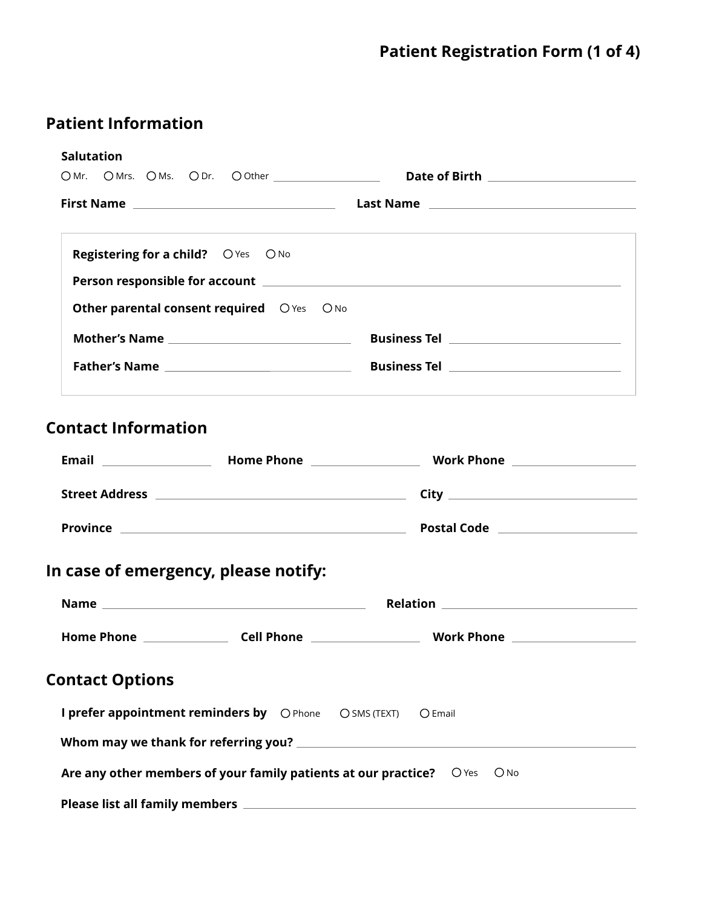## **Patient Information**

| <b>Salutation</b>                                                             |  |                                         |
|-------------------------------------------------------------------------------|--|-----------------------------------------|
|                                                                               |  |                                         |
|                                                                               |  |                                         |
| <b>Registering for a child?</b> O Yes O No                                    |  |                                         |
|                                                                               |  |                                         |
| Other parental consent required OYes ONo                                      |  |                                         |
|                                                                               |  |                                         |
|                                                                               |  |                                         |
| In case of emergency, please notify:                                          |  |                                         |
|                                                                               |  | <b>Name Selection Relation Relation</b> |
|                                                                               |  |                                         |
| <b>Contact Options</b>                                                        |  |                                         |
| I prefer appointment reminders by O Phone O SMS (TEXT)                        |  | $O$ Email                               |
|                                                                               |  |                                         |
| Are any other members of your family patients at our practice? $O$ Yes $O$ No |  |                                         |
|                                                                               |  |                                         |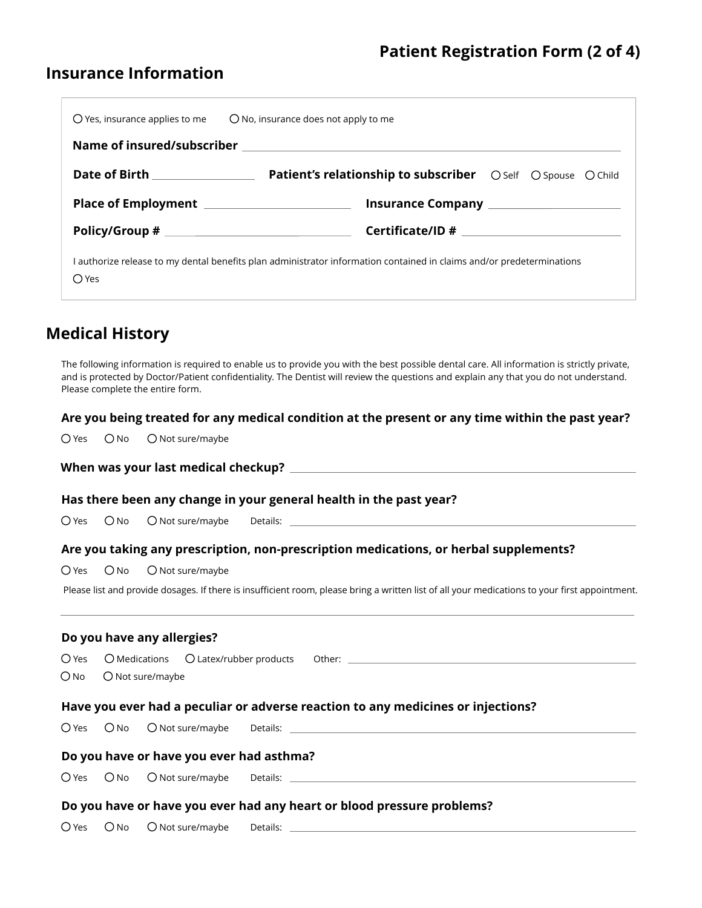### **Insurance Information**

|                                 | $\bigcirc$ Yes, insurance applies to me $\bigcirc$ No, insurance does not apply to me                                 |  |  |  |  |  |
|---------------------------------|-----------------------------------------------------------------------------------------------------------------------|--|--|--|--|--|
|                                 |                                                                                                                       |  |  |  |  |  |
| Date of Birth _________________ | <b>Patient's relationship to subscriber</b> O Self O Spouse O Child                                                   |  |  |  |  |  |
|                                 |                                                                                                                       |  |  |  |  |  |
|                                 |                                                                                                                       |  |  |  |  |  |
| ○ Yes                           | l authorize release to my dental benefits plan administrator information contained in claims and/or predeterminations |  |  |  |  |  |
|                                 |                                                                                                                       |  |  |  |  |  |

### **Medical History**

The following information is required to enable us to provide you with the best possible dental care. All information is strictly private, and is protected by Doctor/Patient confidentiality. The Dentist will review the questions and explain any that you do not understand. Please complete the entire form.

#### **Are you being treated for any medical condition at the present or any time within the past year?**

 $O$  Yes  $O$  No  $O$  Not sure/maybe

### **Has there been any change in your general health in the past year? Are you taking any prescription, non-prescription medications, or herbal supplements? Have you ever had a peculiar or adverse reaction to any medicines or injections? Do you have any allergies? Do you have or have you ever had asthma?**  $O$  Yes  $O$  No  $O$  Not sure/maybe  $O$  Yes  $O$  No  $O$  Not sure/maybe O Yes O No O Not sure/maybe Medications  $\bigcirc$  Latex/rubber products Other:  $O$  Yes  $O$  No  $O$  Not sure/maybe  $O$  Yes  $O$  No  $O$  Not sure/maybe **When was your last medical checkup?** Details: Please list and provide dosages. If there is insufficient room, please bring a written list of all your medications to your first appointment. Details: \_\_ Details:

#### **Do you have or have you ever had any heart or blood pressure problems?**

 $O$  Yes  $O$  No  $O$  Not sure/maybe Details: Note that the set of the set of the set of the set of the set of the set of the set of the set of the set of the set of the set of the set of the set of the set of the set of the set of the set of the set of the s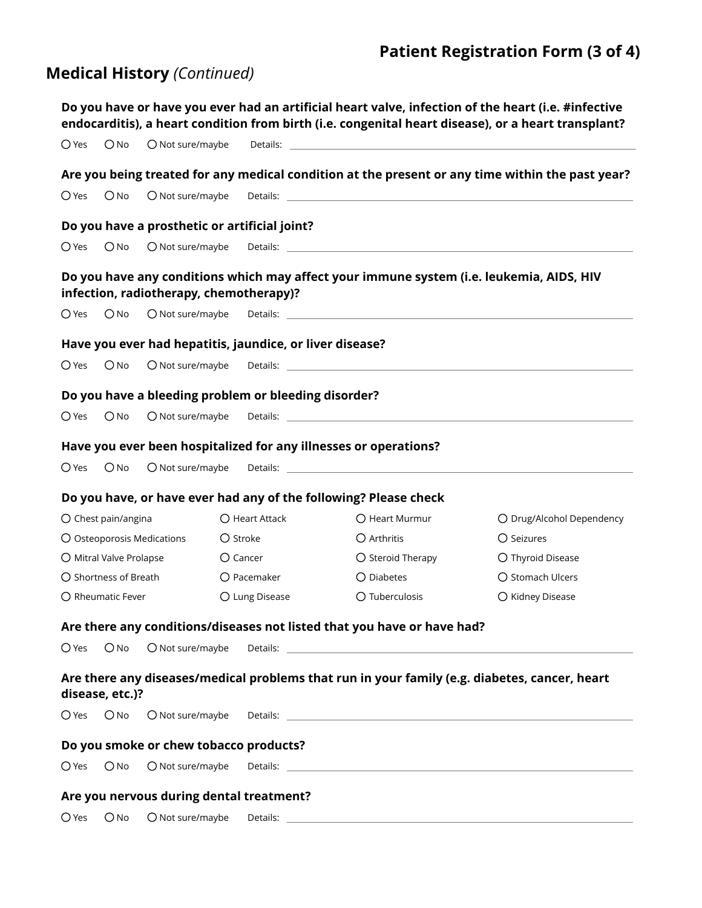## **Patient Registration Form (3 of 4)**

# **Medical History** *(Continued)*

|                |                           |                                                          |                   |                |                                                                                                                                                                                                                                      | Do you have or have you ever had an artificial heart valve, infection of the heart (i.e. #infective<br>endocarditis), a heart condition from birth (i.e. congenital heart disease), or a heart transplant?                     |
|----------------|---------------------------|----------------------------------------------------------|-------------------|----------------|--------------------------------------------------------------------------------------------------------------------------------------------------------------------------------------------------------------------------------------|--------------------------------------------------------------------------------------------------------------------------------------------------------------------------------------------------------------------------------|
| $O$ Yes        | $O$ No                    | O Not sure/maybe                                         |                   |                |                                                                                                                                                                                                                                      |                                                                                                                                                                                                                                |
|                |                           |                                                          |                   |                |                                                                                                                                                                                                                                      | Are you being treated for any medical condition at the present or any time within the past year?                                                                                                                               |
| $O$ Yes        | $O$ No                    | O Not sure/maybe                                         |                   |                |                                                                                                                                                                                                                                      | Details: Note: Note: Note: Note: Note: Note: Note: Note: Note: Note: Note: Note: Note: Note: Note: Note: Note: Note: Note: Note: Note: Note: Note: Note: Note: Note: Note: Note: Note: Note: Note: Note: Note: Note: Note: Not |
|                |                           | Do you have a prosthetic or artificial joint?            |                   |                |                                                                                                                                                                                                                                      |                                                                                                                                                                                                                                |
| $\bigcirc$ Yes | $O$ No                    | O Not sure/maybe                                         |                   |                |                                                                                                                                                                                                                                      |                                                                                                                                                                                                                                |
|                |                           | infection, radiotherapy, chemotherapy)?                  |                   |                |                                                                                                                                                                                                                                      | Do you have any conditions which may affect your immune system (i.e. leukemia, AIDS, HIV                                                                                                                                       |
| $\bigcirc$ Yes | $O$ No                    | O Not sure/maybe                                         |                   |                | Details: <u>the contract of the contract of the contract of the contract of the contract of the contract of the contract of the contract of the contract of the contract of the contract of the contract of the contract of the </u> |                                                                                                                                                                                                                                |
|                |                           | Have you ever had hepatitis, jaundice, or liver disease? |                   |                |                                                                                                                                                                                                                                      |                                                                                                                                                                                                                                |
| $\bigcirc$ Yes | $O$ No                    | $O$ Not sure/maybe                                       |                   |                | Details: <u>www.communications.communications.com</u>                                                                                                                                                                                |                                                                                                                                                                                                                                |
|                |                           | Do you have a bleeding problem or bleeding disorder?     |                   |                |                                                                                                                                                                                                                                      |                                                                                                                                                                                                                                |
| $\bigcirc$ Yes | $O$ No                    | O Not sure/maybe                                         |                   |                | Details: <u>www.community.community.community.com</u>                                                                                                                                                                                |                                                                                                                                                                                                                                |
|                |                           |                                                          |                   |                | Have you ever been hospitalized for any illnesses or operations?                                                                                                                                                                     |                                                                                                                                                                                                                                |
| $\bigcirc$ Yes | $O$ No                    | $O$ Not sure/maybe                                       |                   |                | Details: <u>the contract of the contract of the contract of the contract of the contract of the contract of the contract of the contract of the contract of the contract of the contract of the contract of the contract of the </u> |                                                                                                                                                                                                                                |
|                |                           |                                                          |                   |                | Do you have, or have ever had any of the following? Please check                                                                                                                                                                     |                                                                                                                                                                                                                                |
|                | O Chest pain/angina       |                                                          |                   | O Heart Attack | O Heart Murmur                                                                                                                                                                                                                       | O Drug/Alcohol Dependency                                                                                                                                                                                                      |
|                |                           | O Osteoporosis Medications                               | O Stroke          |                | $\bigcirc$ Arthritis                                                                                                                                                                                                                 | O Seizures                                                                                                                                                                                                                     |
|                | O Mitral Valve Prolapse   |                                                          | $\bigcirc$ Cancer |                | O Steroid Therapy                                                                                                                                                                                                                    | O Thyroid Disease                                                                                                                                                                                                              |
|                | ○ Shortness of Breath     |                                                          |                   | O Pacemaker    | O Diabetes                                                                                                                                                                                                                           | O Stomach Ulcers                                                                                                                                                                                                               |
|                | $\bigcap$ Rheumatic Fever |                                                          |                   | O Lung Disease | O Tuberculosis                                                                                                                                                                                                                       | O Kidney Disease                                                                                                                                                                                                               |
|                |                           |                                                          |                   |                | Are there any conditions/diseases not listed that you have or have had?                                                                                                                                                              |                                                                                                                                                                                                                                |
| $\bigcirc$ Yes | $O$ No                    | O Not sure/maybe                                         |                   |                | Details: Details: Details: Details: Details: Details: Details: Details: Details: Details: Details: D                                                                                                                                 |                                                                                                                                                                                                                                |
|                | disease, etc.)?           |                                                          |                   |                |                                                                                                                                                                                                                                      | Are there any diseases/medical problems that run in your family (e.g. diabetes, cancer, heart                                                                                                                                  |
| $\bigcirc$ Yes | $\bigcirc$ No             | O Not sure/maybe                                         |                   |                |                                                                                                                                                                                                                                      |                                                                                                                                                                                                                                |
|                |                           | Do you smoke or chew tobacco products?                   |                   |                |                                                                                                                                                                                                                                      |                                                                                                                                                                                                                                |
| $O$ Yes        | $O$ No                    | O Not sure/maybe                                         |                   |                |                                                                                                                                                                                                                                      |                                                                                                                                                                                                                                |
|                |                           | Are you nervous during dental treatment?                 |                   |                |                                                                                                                                                                                                                                      |                                                                                                                                                                                                                                |
|                |                           | O Yes O No O Not sure/maybe                              |                   | Details:       |                                                                                                                                                                                                                                      |                                                                                                                                                                                                                                |